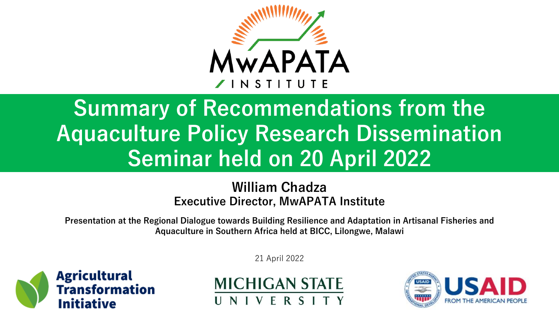

**Summary of Recommendations from the Aquaculture Policy Research Dissemination Seminar held on 20 April 2022**

#### **William Chadza Executive Director, MwAPATA Institute**

**Presentation at the Regional Dialogue towards Building Resilience and Adaptation in Artisanal Fisheries and Aquaculture in Southern Africa held at BICC, Lilongwe, Malawi**

21 April 2022





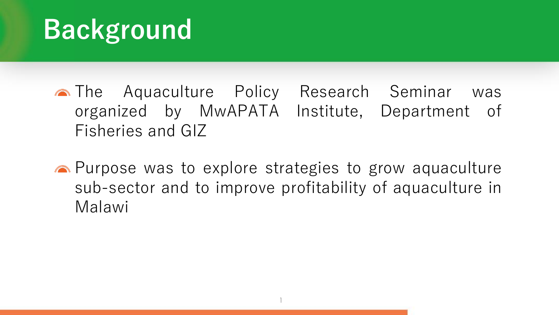#### **Background**

- The Aquaculture Policy Research Seminar was organized by MwAPATA Institute, Department of Fisheries and GIZ
- Purpose was to explore strategies to grow aquaculture sub-sector and to improve profitability of aquaculture in Malawi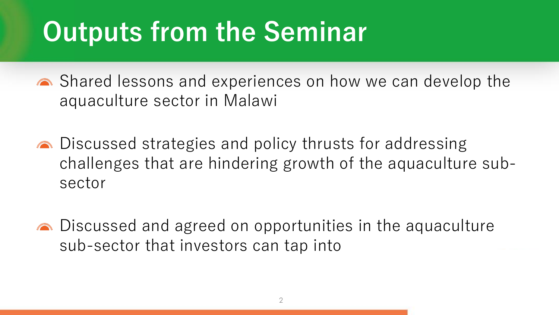#### **Outputs from the Seminar**

Shared lessons and experiences on how we can develop the aquaculture sector in Malawi

- Discussed strategies and policy thrusts for addressing challenges that are hindering growth of the aquaculture subsector
- Discussed and agreed on opportunities in the aquaculture sub-sector that investors can tap into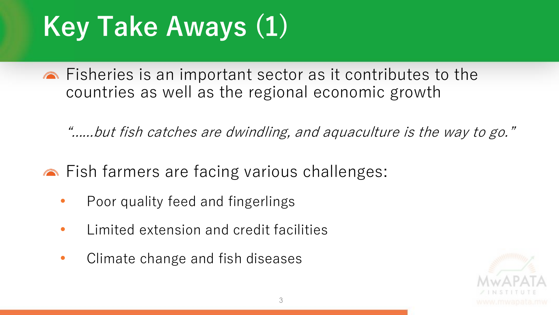## **Key Take Aways (1)**

**Fisheries is an important sector as it contributes to the** countries as well as the regional economic growth

"......but fish catches are dwindling, and aquaculture is the way to go."

Fish farmers are facing various challenges:

- Poor quality feed and fingerlings
- Limited extension and credit facilities
- Climate change and fish diseases

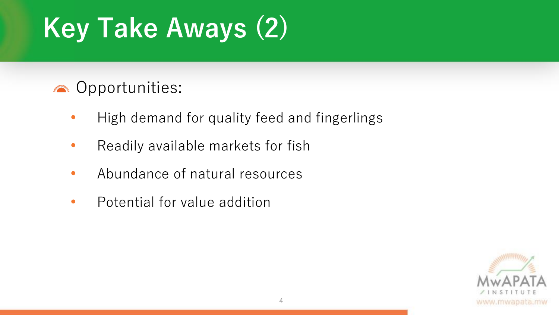## **Key Take Aways (2)**

#### Opportunities:

- High demand for quality feed and fingerlings
- Readily available markets for fish
- Abundance of natural resources
- Potential for value addition

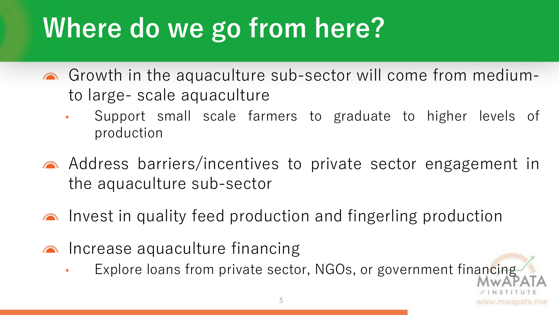### **Where do we go from here?**

- Growth in the aquaculture sub-sector will come from mediumto large- scale aquaculture
	- Support small scale farmers to graduate to higher levels of production
- Address barriers/incentives to private sector engagement in the aquaculture sub-sector
- **Invest in quality feed production and fingerling production**
- A Increase aquaculture financing
	- Explore loans from private sector, NGOs, or government financing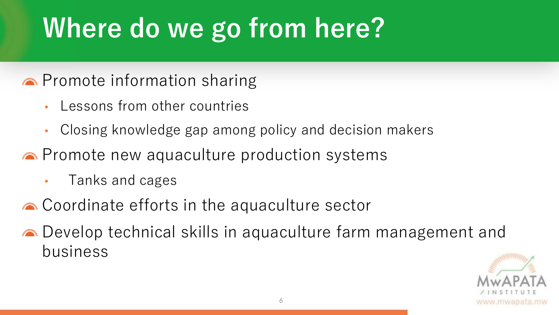### **Where do we go from here?**

#### **Promote information sharing**

- Lessons from other countries
- Closing knowledge gap among policy and decision makers
- **Promote new aquaculture production systems** 
	- Tanks and cages
- Coordinate efforts in the aquaculture sector
- Develop technical skills in aquaculture farm management and business